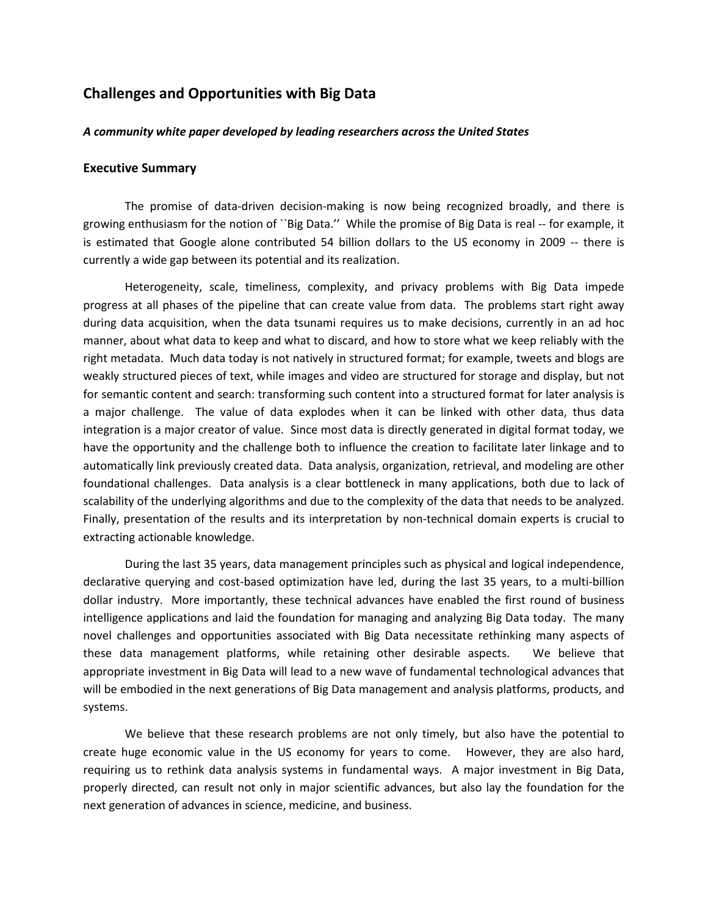# **Challenges and Opportunities with Big Data**

#### *A community white paper developed by leading researchers across the United States*

### **Executive Summary**

The promise of data-driven decision-making is now being recognized broadly, and there is growing enthusiasm for the notion of ``Big Data.'' While the promise of Big Data is real -- for example, it is estimated that Google alone contributed 54 billion dollars to the US economy in 2009 -- there is currently a wide gap between its potential and its realization.

Heterogeneity, scale, timeliness, complexity, and privacy problems with Big Data impede progress at all phases of the pipeline that can create value from data. The problems start right away during data acquisition, when the data tsunami requires us to make decisions, currently in an ad hoc manner, about what data to keep and what to discard, and how to store what we keep reliably with the right metadata. Much data today is not natively in structured format; for example, tweets and blogs are weakly structured pieces of text, while images and video are structured for storage and display, but not for semantic content and search: transforming such content into a structured format for later analysis is a major challenge. The value of data explodes when it can be linked with other data, thus data integration is a major creator of value. Since most data is directly generated in digital format today, we have the opportunity and the challenge both to influence the creation to facilitate later linkage and to automatically link previously created data. Data analysis, organization, retrieval, and modeling are other foundational challenges. Data analysis is a clear bottleneck in many applications, both due to lack of scalability of the underlying algorithms and due to the complexity of the data that needs to be analyzed. Finally, presentation of the results and its interpretation by non-technical domain experts is crucial to extracting actionable knowledge.

During the last 35 years, data management principles such as physical and logical independence, declarative querying and cost-based optimization have led, during the last 35 years, to a multi-billion dollar industry. More importantly, these technical advances have enabled the first round of business intelligence applications and laid the foundation for managing and analyzing Big Data today. The many novel challenges and opportunities associated with Big Data necessitate rethinking many aspects of these data management platforms, while retaining other desirable aspects. We believe that appropriate investment in Big Data will lead to a new wave of fundamental technological advances that will be embodied in the next generations of Big Data management and analysis platforms, products, and systems.

We believe that these research problems are not only timely, but also have the potential to create huge economic value in the US economy for years to come. However, they are also hard, requiring us to rethink data analysis systems in fundamental ways. A major investment in Big Data, properly directed, can result not only in major scientific advances, but also lay the foundation for the next generation of advances in science, medicine, and business.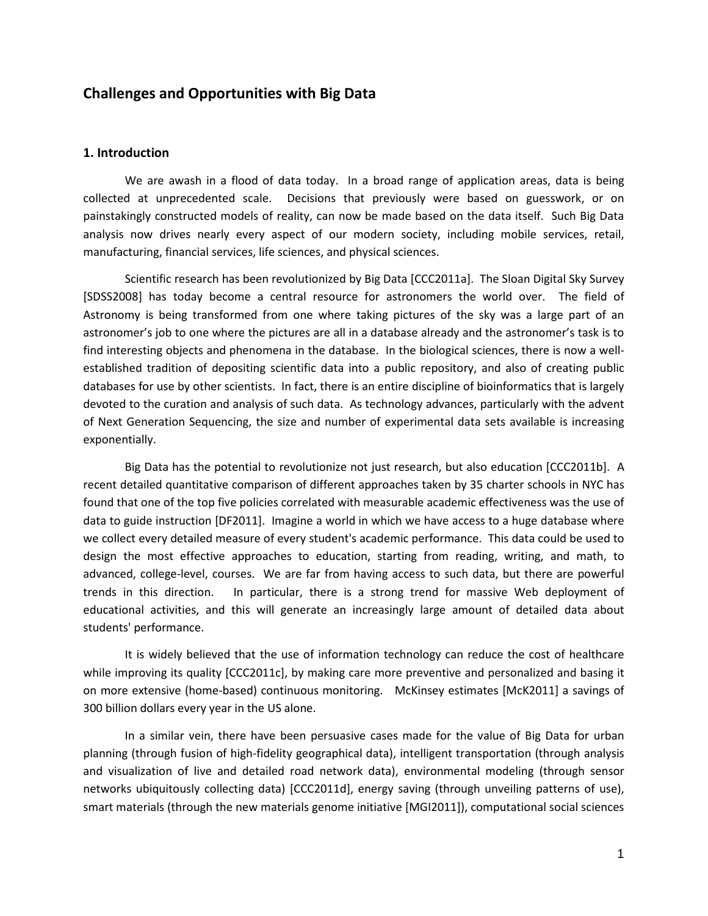# **Challenges and Opportunities with Big Data**

# **1. Introduction**

We are awash in a flood of data today. In a broad range of application areas, data is being collected at unprecedented scale. Decisions that previously were based on guesswork, or on painstakingly constructed models of reality, can now be made based on the data itself. Such Big Data analysis now drives nearly every aspect of our modern society, including mobile services, retail, manufacturing, financial services, life sciences, and physical sciences.

Scientific research has been revolutionized by Big Data [CCC2011a]. The Sloan Digital Sky Survey [SDSS2008] has today become a central resource for astronomers the world over. The field of Astronomy is being transformed from one where taking pictures of the sky was a large part of an astronomer's job to one where the pictures are all in a database already and the astronomer's task is to find interesting objects and phenomena in the database. In the biological sciences, there is now a wellestablished tradition of depositing scientific data into a public repository, and also of creating public databases for use by other scientists. In fact, there is an entire discipline of bioinformatics that is largely devoted to the curation and analysis of such data. As technology advances, particularly with the advent of Next Generation Sequencing, the size and number of experimental data sets available is increasing exponentially.

Big Data has the potential to revolutionize not just research, but also education [CCC2011b]. A recent detailed quantitative comparison of different approaches taken by 35 charter schools in NYC has found that one of the top five policies correlated with measurable academic effectiveness was the use of data to guide instruction [DF2011]. Imagine a world in which we have access to a huge database where we collect every detailed measure of every student's academic performance. This data could be used to design the most effective approaches to education, starting from reading, writing, and math, to advanced, college-level, courses. We are far from having access to such data, but there are powerful trends in this direction. In particular, there is a strong trend for massive Web deployment of educational activities, and this will generate an increasingly large amount of detailed data about students' performance.

It is widely believed that the use of information technology can reduce the cost of healthcare while improving its quality [CCC2011c], by making care more preventive and personalized and basing it on more extensive (home-based) continuous monitoring. McKinsey estimates [McK2011] a savings of 300 billion dollars every year in the US alone.

In a similar vein, there have been persuasive cases made for the value of Big Data for urban planning (through fusion of high-fidelity geographical data), intelligent transportation (through analysis and visualization of live and detailed road network data), environmental modeling (through sensor networks ubiquitously collecting data) [CCC2011d], energy saving (through unveiling patterns of use), smart materials (through the new materials genome initiative [MGI2011]), computational social sciences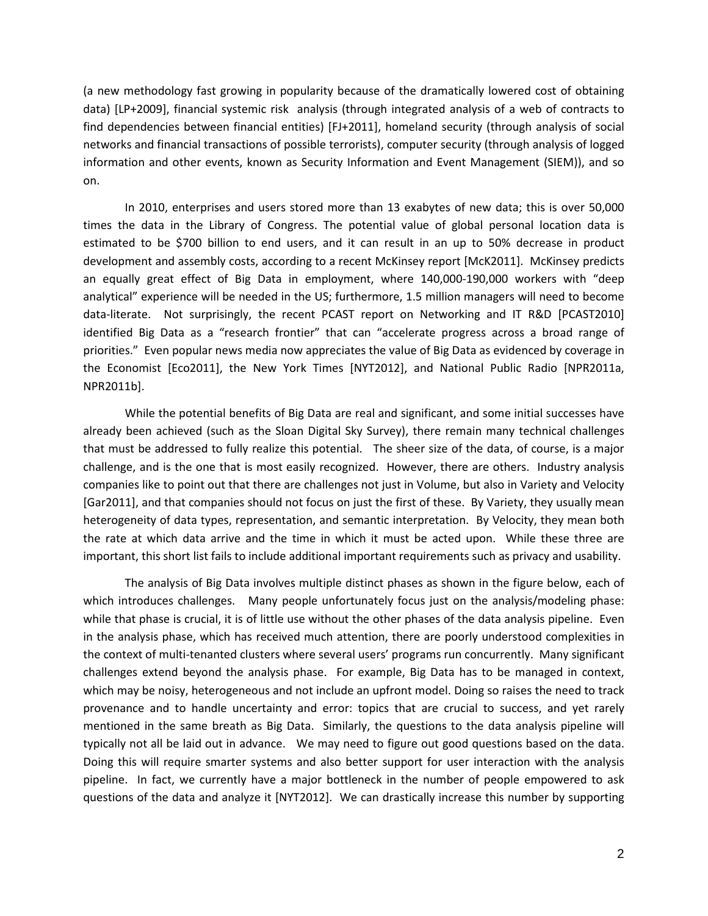(a new methodology fast growing in popularity because of the dramatically lowered cost of obtaining data) [LP+2009], financial systemic risk analysis (through integrated analysis of a web of contracts to find dependencies between financial entities) [FJ+2011], homeland security (through analysis of social networks and financial transactions of possible terrorists), computer security (through analysis of logged information and other events, known as Security Information and Event Management (SIEM)), and so on.

In 2010, enterprises and users stored more than 13 exabytes of new data; this is over 50,000 times the data in the Library of Congress. The potential value of global personal location data is estimated to be \$700 billion to end users, and it can result in an up to 50% decrease in product development and assembly costs, according to a recent McKinsey report [McK2011]. McKinsey predicts an equally great effect of Big Data in employment, where 140,000-190,000 workers with "deep analytical" experience will be needed in the US; furthermore, 1.5 million managers will need to become data-literate. Not surprisingly, the recent PCAST report on Networking and IT R&D [PCAST2010] identified Big Data as a "research frontier" that can "accelerate progress across a broad range of priorities." Even popular news media now appreciates the value of Big Data as evidenced by coverage in the Economist [Eco2011], the New York Times [NYT2012], and National Public Radio [NPR2011a, NPR2011b].

While the potential benefits of Big Data are real and significant, and some initial successes have already been achieved (such as the Sloan Digital Sky Survey), there remain many technical challenges that must be addressed to fully realize this potential. The sheer size of the data, of course, is a major challenge, and is the one that is most easily recognized. However, there are others. Industry analysis companies like to point out that there are challenges not just in Volume, but also in Variety and Velocity [Gar2011], and that companies should not focus on just the first of these. By Variety, they usually mean heterogeneity of data types, representation, and semantic interpretation. By Velocity, they mean both the rate at which data arrive and the time in which it must be acted upon. While these three are important, this short list fails to include additional important requirements such as privacy and usability.

The analysis of Big Data involves multiple distinct phases as shown in the figure below, each of which introduces challenges. Many people unfortunately focus just on the analysis/modeling phase: while that phase is crucial, it is of little use without the other phases of the data analysis pipeline. Even in the analysis phase, which has received much attention, there are poorly understood complexities in the context of multi-tenanted clusters where several users' programs run concurrently. Many significant challenges extend beyond the analysis phase. For example, Big Data has to be managed in context, which may be noisy, heterogeneous and not include an upfront model. Doing so raises the need to track provenance and to handle uncertainty and error: topics that are crucial to success, and yet rarely mentioned in the same breath as Big Data. Similarly, the questions to the data analysis pipeline will typically not all be laid out in advance. We may need to figure out good questions based on the data. Doing this will require smarter systems and also better support for user interaction with the analysis pipeline. In fact, we currently have a major bottleneck in the number of people empowered to ask questions of the data and analyze it [NYT2012]. We can drastically increase this number by supporting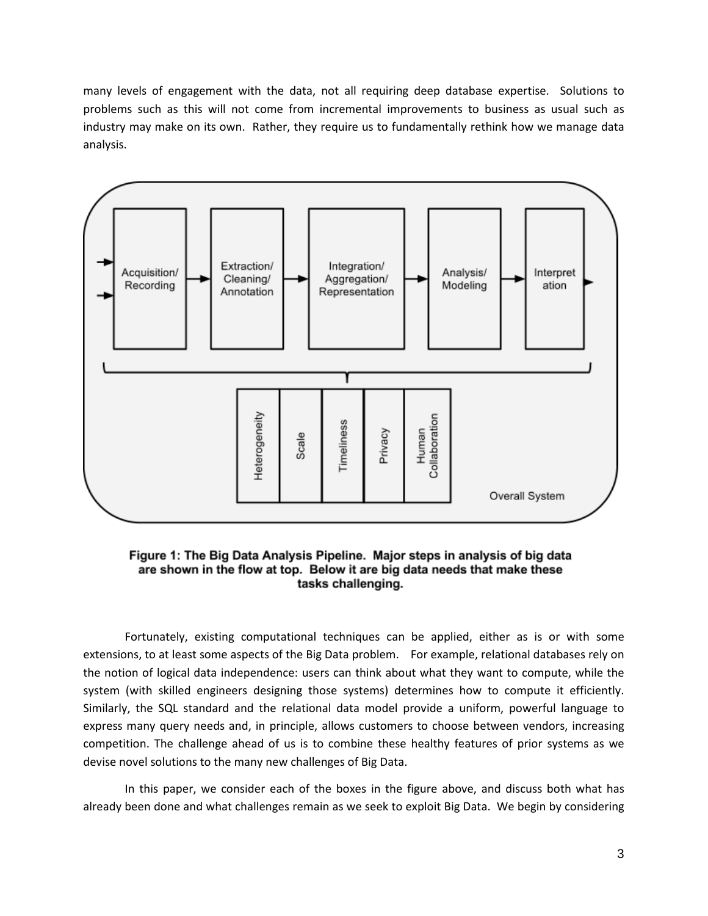many levels of engagement with the data, not all requiring deep database expertise. Solutions to problems such as this will not come from incremental improvements to business as usual such as industry may make on its own. Rather, they require us to fundamentally rethink how we manage data analysis.



Figure 1: The Big Data Analysis Pipeline. Major steps in analysis of big data are shown in the flow at top. Below it are big data needs that make these tasks challenging.

Fortunately, existing computational techniques can be applied, either as is or with some extensions, to at least some aspects of the Big Data problem. For example, relational databases rely on the notion of logical data independence: users can think about what they want to compute, while the system (with skilled engineers designing those systems) determines how to compute it efficiently. Similarly, the SQL standard and the relational data model provide a uniform, powerful language to express many query needs and, in principle, allows customers to choose between vendors, increasing competition. The challenge ahead of us is to combine these healthy features of prior systems as we devise novel solutions to the many new challenges of Big Data.

In this paper, we consider each of the boxes in the figure above, and discuss both what has already been done and what challenges remain as we seek to exploit Big Data. We begin by considering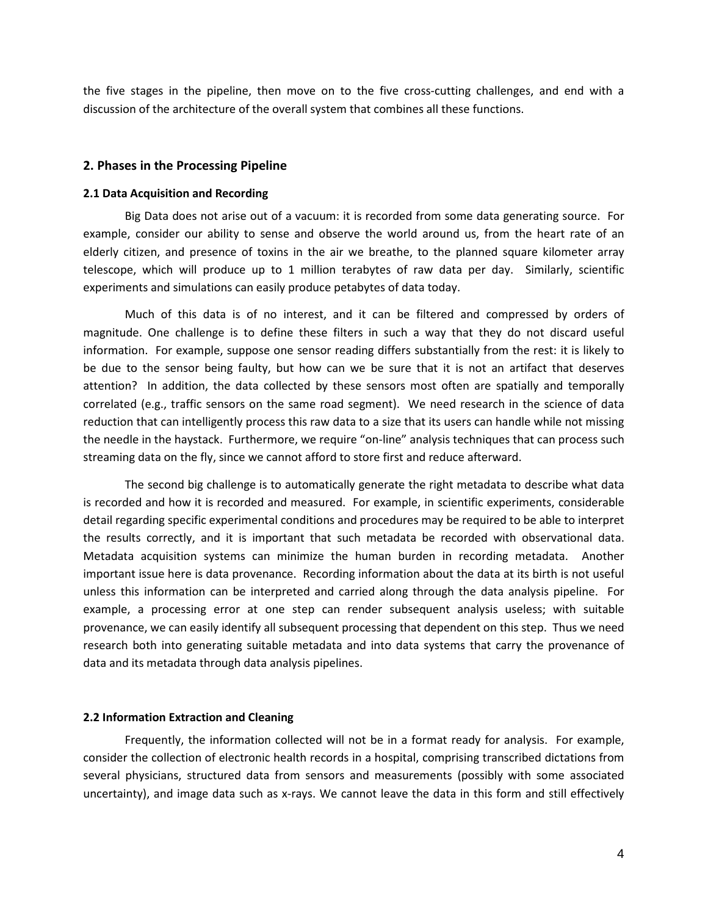the five stages in the pipeline, then move on to the five cross-cutting challenges, and end with a discussion of the architecture of the overall system that combines all these functions.

# **2. Phases in the Processing Pipeline**

#### **2.1 Data Acquisition and Recording**

Big Data does not arise out of a vacuum: it is recorded from some data generating source. For example, consider our ability to sense and observe the world around us, from the heart rate of an elderly citizen, and presence of toxins in the air we breathe, to the planned square kilometer array telescope, which will produce up to 1 million terabytes of raw data per day. Similarly, scientific experiments and simulations can easily produce petabytes of data today.

Much of this data is of no interest, and it can be filtered and compressed by orders of magnitude. One challenge is to define these filters in such a way that they do not discard useful information. For example, suppose one sensor reading differs substantially from the rest: it is likely to be due to the sensor being faulty, but how can we be sure that it is not an artifact that deserves attention? In addition, the data collected by these sensors most often are spatially and temporally correlated (e.g., traffic sensors on the same road segment). We need research in the science of data reduction that can intelligently process this raw data to a size that its users can handle while not missing the needle in the haystack. Furthermore, we require "on-line" analysis techniques that can process such streaming data on the fly, since we cannot afford to store first and reduce afterward.

The second big challenge is to automatically generate the right metadata to describe what data is recorded and how it is recorded and measured. For example, in scientific experiments, considerable detail regarding specific experimental conditions and procedures may be required to be able to interpret the results correctly, and it is important that such metadata be recorded with observational data. Metadata acquisition systems can minimize the human burden in recording metadata. Another important issue here is data provenance. Recording information about the data at its birth is not useful unless this information can be interpreted and carried along through the data analysis pipeline. For example, a processing error at one step can render subsequent analysis useless; with suitable provenance, we can easily identify all subsequent processing that dependent on this step. Thus we need research both into generating suitable metadata and into data systems that carry the provenance of data and its metadata through data analysis pipelines.

## **2.2 Information Extraction and Cleaning**

Frequently, the information collected will not be in a format ready for analysis. For example, consider the collection of electronic health records in a hospital, comprising transcribed dictations from several physicians, structured data from sensors and measurements (possibly with some associated uncertainty), and image data such as x-rays. We cannot leave the data in this form and still effectively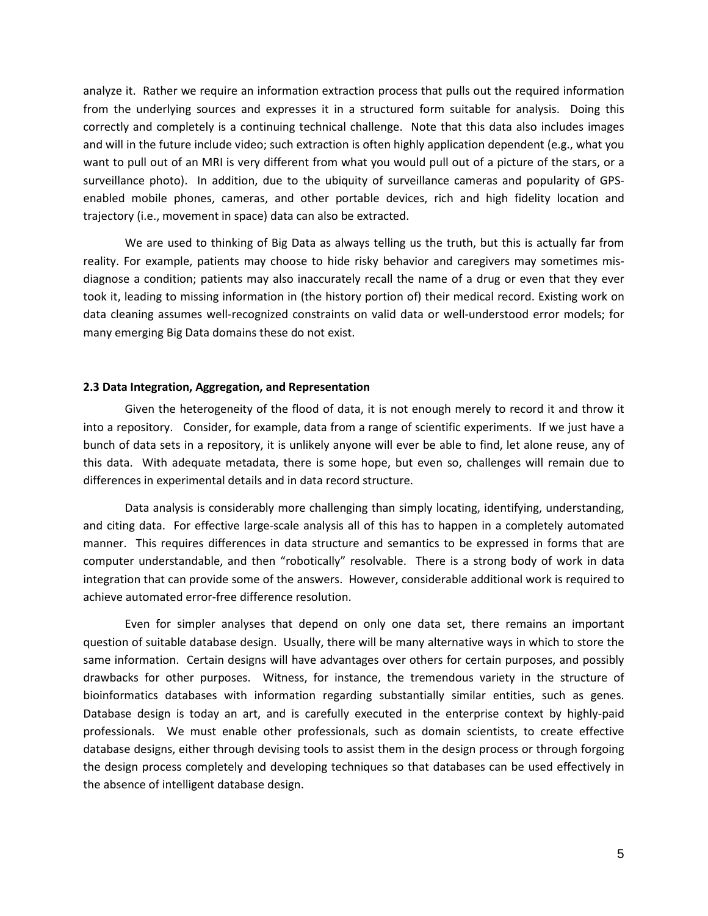analyze it. Rather we require an information extraction process that pulls out the required information from the underlying sources and expresses it in a structured form suitable for analysis. Doing this correctly and completely is a continuing technical challenge. Note that this data also includes images and will in the future include video; such extraction is often highly application dependent (e.g., what you want to pull out of an MRI is very different from what you would pull out of a picture of the stars, or a surveillance photo). In addition, due to the ubiquity of surveillance cameras and popularity of GPSenabled mobile phones, cameras, and other portable devices, rich and high fidelity location and trajectory (i.e., movement in space) data can also be extracted.

We are used to thinking of Big Data as always telling us the truth, but this is actually far from reality. For example, patients may choose to hide risky behavior and caregivers may sometimes misdiagnose a condition; patients may also inaccurately recall the name of a drug or even that they ever took it, leading to missing information in (the history portion of) their medical record. Existing work on data cleaning assumes well-recognized constraints on valid data or well-understood error models; for many emerging Big Data domains these do not exist.

# **2.3 Data Integration, Aggregation, and Representation**

Given the heterogeneity of the flood of data, it is not enough merely to record it and throw it into a repository. Consider, for example, data from a range of scientific experiments. If we just have a bunch of data sets in a repository, it is unlikely anyone will ever be able to find, let alone reuse, any of this data. With adequate metadata, there is some hope, but even so, challenges will remain due to differences in experimental details and in data record structure.

Data analysis is considerably more challenging than simply locating, identifying, understanding, and citing data. For effective large-scale analysis all of this has to happen in a completely automated manner. This requires differences in data structure and semantics to be expressed in forms that are computer understandable, and then "robotically" resolvable. There is a strong body of work in data integration that can provide some of the answers. However, considerable additional work is required to achieve automated error-free difference resolution.

Even for simpler analyses that depend on only one data set, there remains an important question of suitable database design. Usually, there will be many alternative ways in which to store the same information. Certain designs will have advantages over others for certain purposes, and possibly drawbacks for other purposes. Witness, for instance, the tremendous variety in the structure of bioinformatics databases with information regarding substantially similar entities, such as genes. Database design is today an art, and is carefully executed in the enterprise context by highly-paid professionals. We must enable other professionals, such as domain scientists, to create effective database designs, either through devising tools to assist them in the design process or through forgoing the design process completely and developing techniques so that databases can be used effectively in the absence of intelligent database design.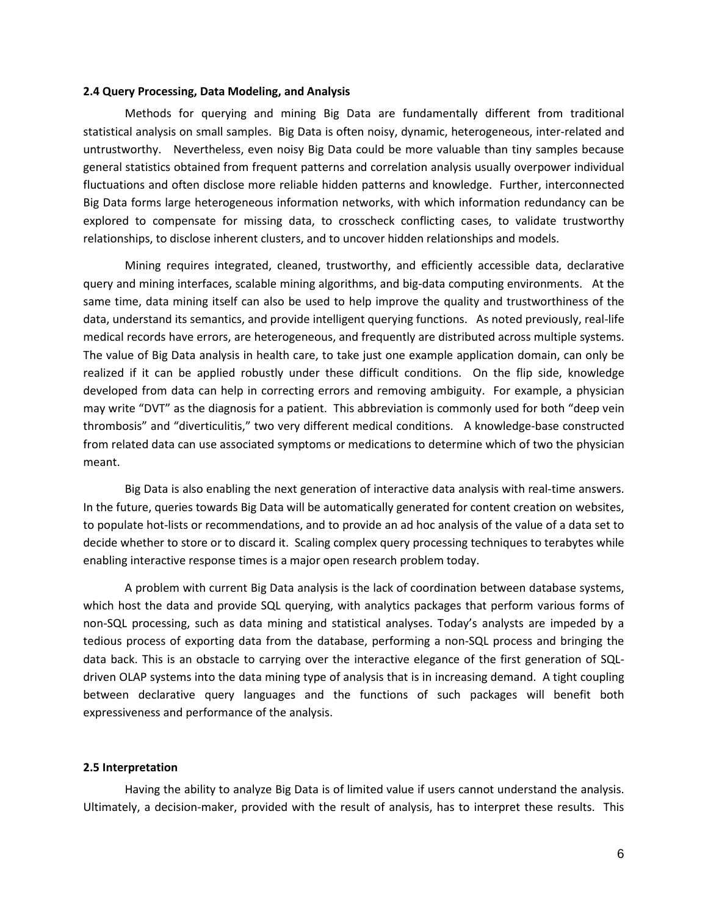#### **2.4 Query Processing, Data Modeling, and Analysis**

Methods for querying and mining Big Data are fundamentally different from traditional statistical analysis on small samples. Big Data is often noisy, dynamic, heterogeneous, inter-related and untrustworthy. Nevertheless, even noisy Big Data could be more valuable than tiny samples because general statistics obtained from frequent patterns and correlation analysis usually overpower individual fluctuations and often disclose more reliable hidden patterns and knowledge. Further, interconnected Big Data forms large heterogeneous information networks, with which information redundancy can be explored to compensate for missing data, to crosscheck conflicting cases, to validate trustworthy relationships, to disclose inherent clusters, and to uncover hidden relationships and models.

Mining requires integrated, cleaned, trustworthy, and efficiently accessible data, declarative query and mining interfaces, scalable mining algorithms, and big-data computing environments. At the same time, data mining itself can also be used to help improve the quality and trustworthiness of the data, understand its semantics, and provide intelligent querying functions. As noted previously, real-life medical records have errors, are heterogeneous, and frequently are distributed across multiple systems. The value of Big Data analysis in health care, to take just one example application domain, can only be realized if it can be applied robustly under these difficult conditions. On the flip side, knowledge developed from data can help in correcting errors and removing ambiguity. For example, a physician may write "DVT" as the diagnosis for a patient. This abbreviation is commonly used for both "deep vein thrombosis" and "diverticulitis," two very different medical conditions. A knowledge-base constructed from related data can use associated symptoms or medications to determine which of two the physician meant.

Big Data is also enabling the next generation of interactive data analysis with real-time answers. In the future, queries towards Big Data will be automatically generated for content creation on websites, to populate hot-lists or recommendations, and to provide an ad hoc analysis of the value of a data set to decide whether to store or to discard it. Scaling complex query processing techniques to terabytes while enabling interactive response times is a major open research problem today.

A problem with current Big Data analysis is the lack of coordination between database systems, which host the data and provide SQL querying, with analytics packages that perform various forms of non-SQL processing, such as data mining and statistical analyses. Today's analysts are impeded by a tedious process of exporting data from the database, performing a non-SQL process and bringing the data back. This is an obstacle to carrying over the interactive elegance of the first generation of SQLdriven OLAP systems into the data mining type of analysis that is in increasing demand. A tight coupling between declarative query languages and the functions of such packages will benefit both expressiveness and performance of the analysis.

#### **2.5 Interpretation**

Having the ability to analyze Big Data is of limited value if users cannot understand the analysis. Ultimately, a decision-maker, provided with the result of analysis, has to interpret these results. This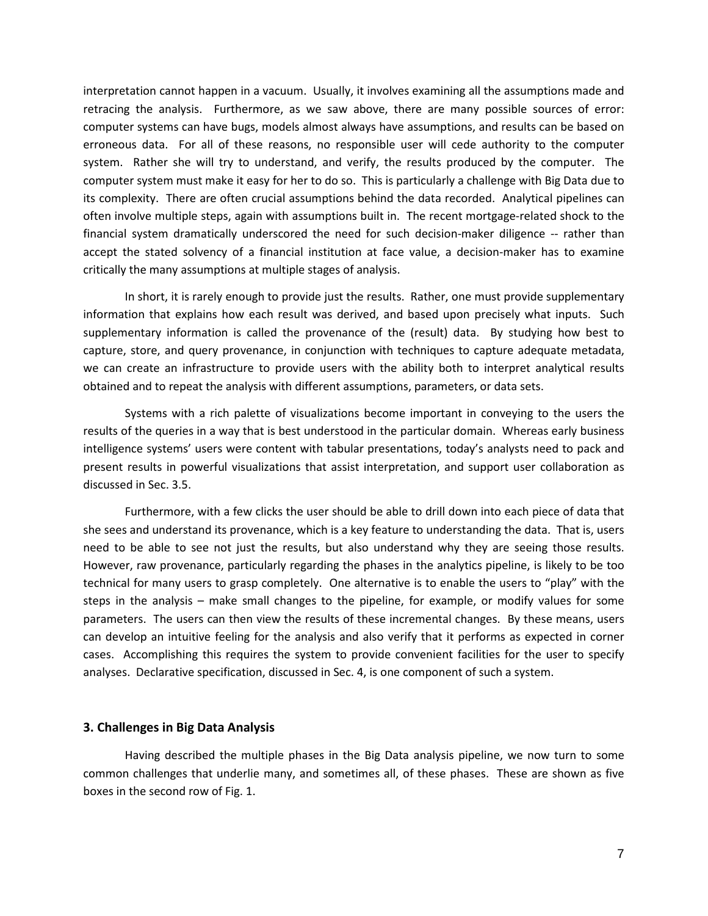interpretation cannot happen in a vacuum. Usually, it involves examining all the assumptions made and retracing the analysis. Furthermore, as we saw above, there are many possible sources of error: computer systems can have bugs, models almost always have assumptions, and results can be based on erroneous data. For all of these reasons, no responsible user will cede authority to the computer system. Rather she will try to understand, and verify, the results produced by the computer. The computer system must make it easy for her to do so. This is particularly a challenge with Big Data due to its complexity. There are often crucial assumptions behind the data recorded. Analytical pipelines can often involve multiple steps, again with assumptions built in. The recent mortgage-related shock to the financial system dramatically underscored the need for such decision-maker diligence -- rather than accept the stated solvency of a financial institution at face value, a decision-maker has to examine critically the many assumptions at multiple stages of analysis.

In short, it is rarely enough to provide just the results. Rather, one must provide supplementary information that explains how each result was derived, and based upon precisely what inputs. Such supplementary information is called the provenance of the (result) data. By studying how best to capture, store, and query provenance, in conjunction with techniques to capture adequate metadata, we can create an infrastructure to provide users with the ability both to interpret analytical results obtained and to repeat the analysis with different assumptions, parameters, or data sets.

Systems with a rich palette of visualizations become important in conveying to the users the results of the queries in a way that is best understood in the particular domain. Whereas early business intelligence systems' users were content with tabular presentations, today's analysts need to pack and present results in powerful visualizations that assist interpretation, and support user collaboration as discussed in Sec. 3.5.

Furthermore, with a few clicks the user should be able to drill down into each piece of data that she sees and understand its provenance, which is a key feature to understanding the data. That is, users need to be able to see not just the results, but also understand why they are seeing those results. However, raw provenance, particularly regarding the phases in the analytics pipeline, is likely to be too technical for many users to grasp completely. One alternative is to enable the users to "play" with the steps in the analysis – make small changes to the pipeline, for example, or modify values for some parameters. The users can then view the results of these incremental changes. By these means, users can develop an intuitive feeling for the analysis and also verify that it performs as expected in corner cases. Accomplishing this requires the system to provide convenient facilities for the user to specify analyses. Declarative specification, discussed in Sec. 4, is one component of such a system.

## **3. Challenges in Big Data Analysis**

Having described the multiple phases in the Big Data analysis pipeline, we now turn to some common challenges that underlie many, and sometimes all, of these phases. These are shown as five boxes in the second row of Fig. 1.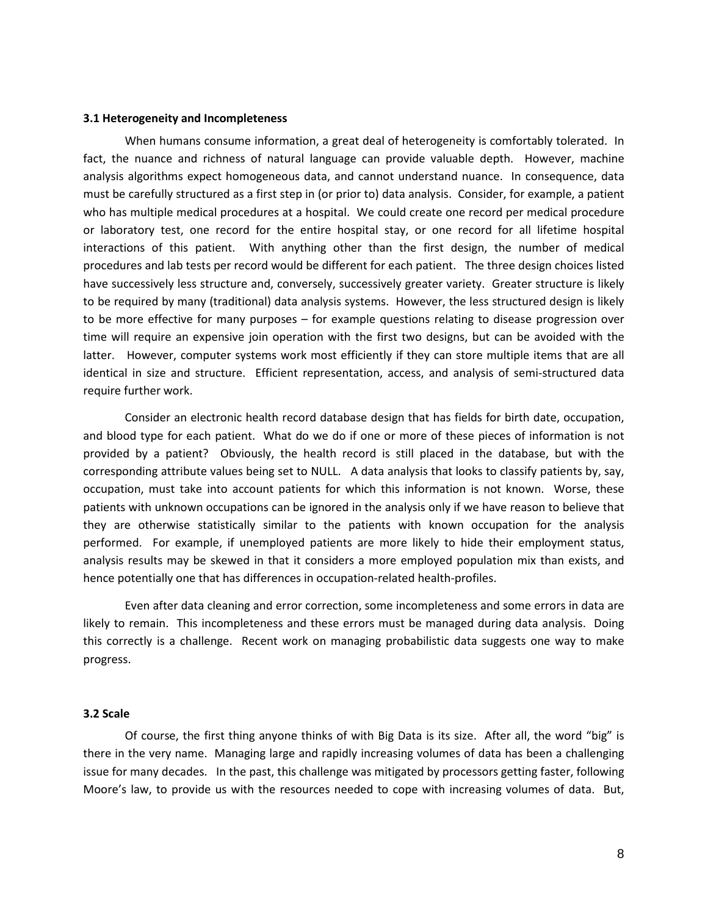#### **3.1 Heterogeneity and Incompleteness**

When humans consume information, a great deal of heterogeneity is comfortably tolerated. In fact, the nuance and richness of natural language can provide valuable depth. However, machine analysis algorithms expect homogeneous data, and cannot understand nuance. In consequence, data must be carefully structured as a first step in (or prior to) data analysis. Consider, for example, a patient who has multiple medical procedures at a hospital. We could create one record per medical procedure or laboratory test, one record for the entire hospital stay, or one record for all lifetime hospital interactions of this patient. With anything other than the first design, the number of medical procedures and lab tests per record would be different for each patient. The three design choices listed have successively less structure and, conversely, successively greater variety. Greater structure is likely to be required by many (traditional) data analysis systems. However, the less structured design is likely to be more effective for many purposes – for example questions relating to disease progression over time will require an expensive join operation with the first two designs, but can be avoided with the latter. However, computer systems work most efficiently if they can store multiple items that are all identical in size and structure. Efficient representation, access, and analysis of semi-structured data require further work.

Consider an electronic health record database design that has fields for birth date, occupation, and blood type for each patient. What do we do if one or more of these pieces of information is not provided by a patient? Obviously, the health record is still placed in the database, but with the corresponding attribute values being set to NULL. A data analysis that looks to classify patients by, say, occupation, must take into account patients for which this information is not known. Worse, these patients with unknown occupations can be ignored in the analysis only if we have reason to believe that they are otherwise statistically similar to the patients with known occupation for the analysis performed. For example, if unemployed patients are more likely to hide their employment status, analysis results may be skewed in that it considers a more employed population mix than exists, and hence potentially one that has differences in occupation-related health-profiles.

Even after data cleaning and error correction, some incompleteness and some errors in data are likely to remain. This incompleteness and these errors must be managed during data analysis. Doing this correctly is a challenge. Recent work on managing probabilistic data suggests one way to make progress.

### **3.2 Scale**

Of course, the first thing anyone thinks of with Big Data is its size. After all, the word "big" is there in the very name. Managing large and rapidly increasing volumes of data has been a challenging issue for many decades. In the past, this challenge was mitigated by processors getting faster, following Moore's law, to provide us with the resources needed to cope with increasing volumes of data. But,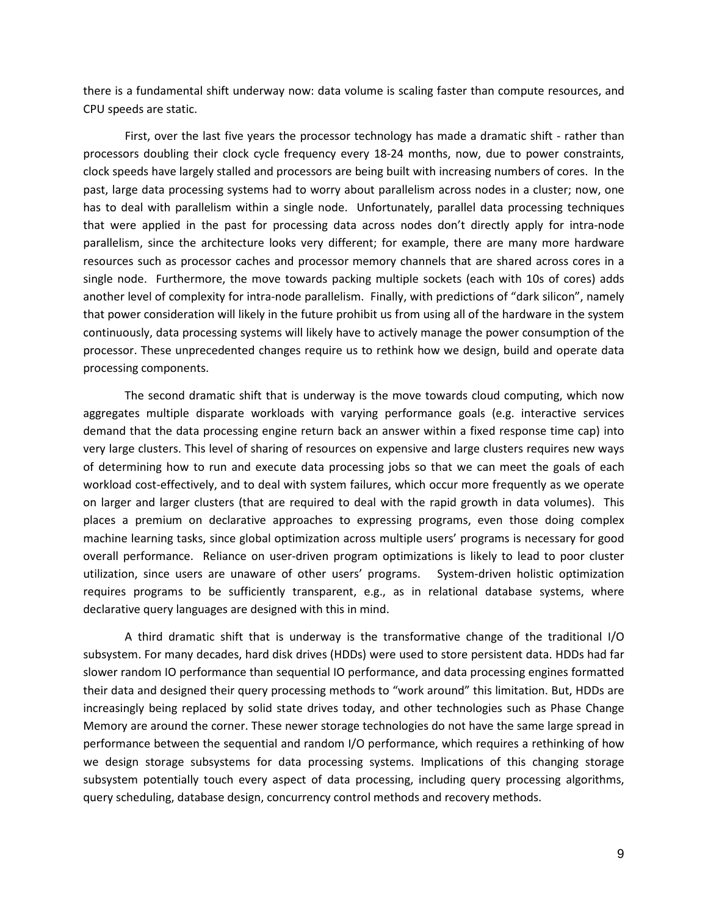there is a fundamental shift underway now: data volume is scaling faster than compute resources, and CPU speeds are static.

First, over the last five years the processor technology has made a dramatic shift - rather than processors doubling their clock cycle frequency every 18-24 months, now, due to power constraints, clock speeds have largely stalled and processors are being built with increasing numbers of cores. In the past, large data processing systems had to worry about parallelism across nodes in a cluster; now, one has to deal with parallelism within a single node. Unfortunately, parallel data processing techniques that were applied in the past for processing data across nodes don't directly apply for intra-node parallelism, since the architecture looks very different; for example, there are many more hardware resources such as processor caches and processor memory channels that are shared across cores in a single node. Furthermore, the move towards packing multiple sockets (each with 10s of cores) adds another level of complexity for intra-node parallelism. Finally, with predictions of "dark silicon", namely that power consideration will likely in the future prohibit us from using all of the hardware in the system continuously, data processing systems will likely have to actively manage the power consumption of the processor. These unprecedented changes require us to rethink how we design, build and operate data processing components.

The second dramatic shift that is underway is the move towards cloud computing, which now aggregates multiple disparate workloads with varying performance goals (e.g. interactive services demand that the data processing engine return back an answer within a fixed response time cap) into very large clusters. This level of sharing of resources on expensive and large clusters requires new ways of determining how to run and execute data processing jobs so that we can meet the goals of each workload cost-effectively, and to deal with system failures, which occur more frequently as we operate on larger and larger clusters (that are required to deal with the rapid growth in data volumes). This places a premium on declarative approaches to expressing programs, even those doing complex machine learning tasks, since global optimization across multiple users' programs is necessary for good overall performance. Reliance on user-driven program optimizations is likely to lead to poor cluster utilization, since users are unaware of other users' programs. System-driven holistic optimization requires programs to be sufficiently transparent, e.g., as in relational database systems, where declarative query languages are designed with this in mind.

A third dramatic shift that is underway is the transformative change of the traditional I/O subsystem. For many decades, hard disk drives (HDDs) were used to store persistent data. HDDs had far slower random IO performance than sequential IO performance, and data processing engines formatted their data and designed their query processing methods to "work around" this limitation. But, HDDs are increasingly being replaced by solid state drives today, and other technologies such as Phase Change Memory are around the corner. These newer storage technologies do not have the same large spread in performance between the sequential and random I/O performance, which requires a rethinking of how we design storage subsystems for data processing systems. Implications of this changing storage subsystem potentially touch every aspect of data processing, including query processing algorithms, query scheduling, database design, concurrency control methods and recovery methods.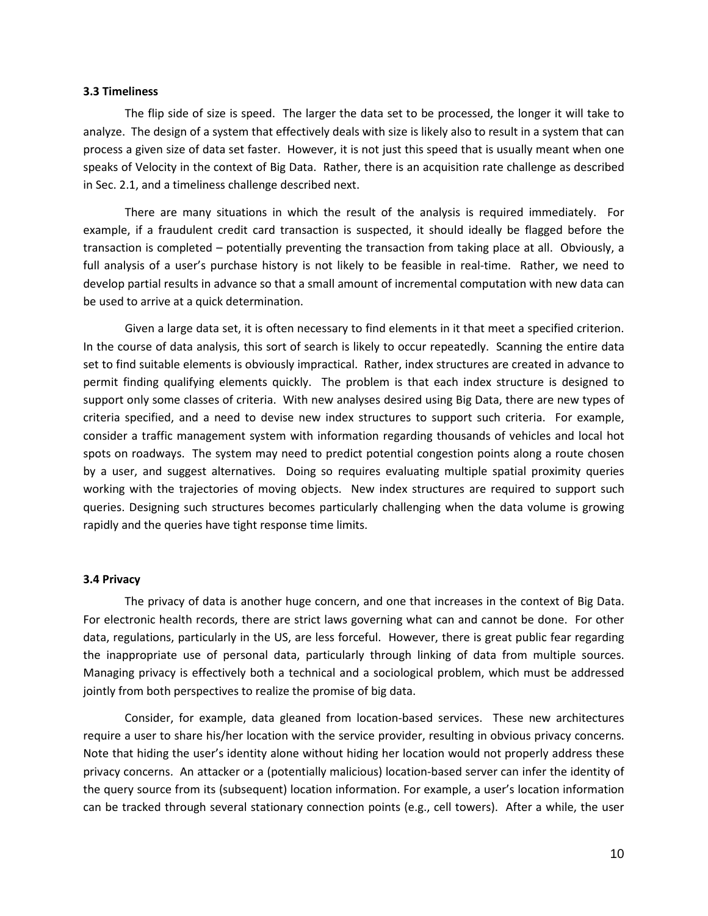#### **3.3 Timeliness**

The flip side of size is speed. The larger the data set to be processed, the longer it will take to analyze. The design of a system that effectively deals with size is likely also to result in a system that can process a given size of data set faster. However, it is not just this speed that is usually meant when one speaks of Velocity in the context of Big Data. Rather, there is an acquisition rate challenge as described in Sec. 2.1, and a timeliness challenge described next.

There are many situations in which the result of the analysis is required immediately. For example, if a fraudulent credit card transaction is suspected, it should ideally be flagged before the transaction is completed – potentially preventing the transaction from taking place at all. Obviously, a full analysis of a user's purchase history is not likely to be feasible in real-time. Rather, we need to develop partial results in advance so that a small amount of incremental computation with new data can be used to arrive at a quick determination.

Given a large data set, it is often necessary to find elements in it that meet a specified criterion. In the course of data analysis, this sort of search is likely to occur repeatedly. Scanning the entire data set to find suitable elements is obviously impractical. Rather, index structures are created in advance to permit finding qualifying elements quickly. The problem is that each index structure is designed to support only some classes of criteria. With new analyses desired using Big Data, there are new types of criteria specified, and a need to devise new index structures to support such criteria. For example, consider a traffic management system with information regarding thousands of vehicles and local hot spots on roadways. The system may need to predict potential congestion points along a route chosen by a user, and suggest alternatives. Doing so requires evaluating multiple spatial proximity queries working with the trajectories of moving objects. New index structures are required to support such queries. Designing such structures becomes particularly challenging when the data volume is growing rapidly and the queries have tight response time limits.

# **3.4 Privacy**

The privacy of data is another huge concern, and one that increases in the context of Big Data. For electronic health records, there are strict laws governing what can and cannot be done. For other data, regulations, particularly in the US, are less forceful. However, there is great public fear regarding the inappropriate use of personal data, particularly through linking of data from multiple sources. Managing privacy is effectively both a technical and a sociological problem, which must be addressed jointly from both perspectives to realize the promise of big data.

Consider, for example, data gleaned from location-based services. These new architectures require a user to share his/her location with the service provider, resulting in obvious privacy concerns. Note that hiding the user's identity alone without hiding her location would not properly address these privacy concerns. An attacker or a (potentially malicious) location-based server can infer the identity of the query source from its (subsequent) location information. For example, a user's location information can be tracked through several stationary connection points (e.g., cell towers). After a while, the user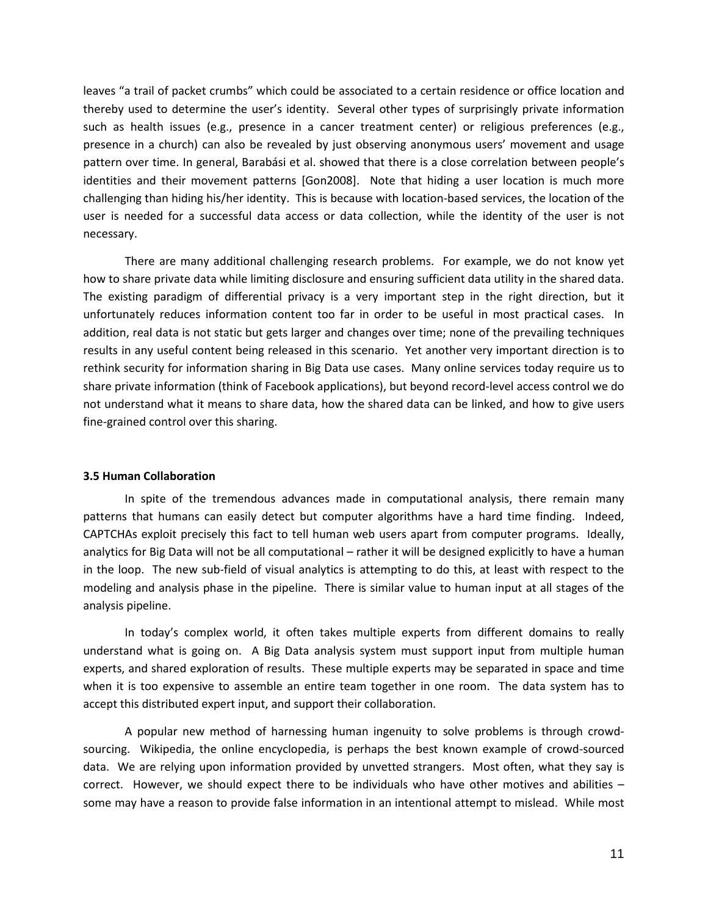leaves "a trail of packet crumbs" which could be associated to a certain residence or office location and thereby used to determine the user's identity. Several other types of surprisingly private information such as health issues (e.g., presence in a cancer treatment center) or religious preferences (e.g., presence in a church) can also be revealed by just observing anonymous users' movement and usage pattern over time. In general, Barabási et al. showed that there is a close correlation between people's identities and their movement patterns [Gon2008]. Note that hiding a user location is much more challenging than hiding his/her identity. This is because with location-based services, the location of the user is needed for a successful data access or data collection, while the identity of the user is not necessary.

There are many additional challenging research problems. For example, we do not know yet how to share private data while limiting disclosure and ensuring sufficient data utility in the shared data. The existing paradigm of differential privacy is a very important step in the right direction, but it unfortunately reduces information content too far in order to be useful in most practical cases. In addition, real data is not static but gets larger and changes over time; none of the prevailing techniques results in any useful content being released in this scenario. Yet another very important direction is to rethink security for information sharing in Big Data use cases. Many online services today require us to share private information (think of Facebook applications), but beyond record-level access control we do not understand what it means to share data, how the shared data can be linked, and how to give users fine-grained control over this sharing.

# **3.5 Human Collaboration**

In spite of the tremendous advances made in computational analysis, there remain many patterns that humans can easily detect but computer algorithms have a hard time finding. Indeed, CAPTCHAs exploit precisely this fact to tell human web users apart from computer programs. Ideally, analytics for Big Data will not be all computational – rather it will be designed explicitly to have a human in the loop. The new sub-field of visual analytics is attempting to do this, at least with respect to the modeling and analysis phase in the pipeline. There is similar value to human input at all stages of the analysis pipeline.

In today's complex world, it often takes multiple experts from different domains to really understand what is going on. A Big Data analysis system must support input from multiple human experts, and shared exploration of results. These multiple experts may be separated in space and time when it is too expensive to assemble an entire team together in one room. The data system has to accept this distributed expert input, and support their collaboration.

A popular new method of harnessing human ingenuity to solve problems is through crowdsourcing. Wikipedia, the online encyclopedia, is perhaps the best known example of crowd-sourced data. We are relying upon information provided by unvetted strangers. Most often, what they say is correct. However, we should expect there to be individuals who have other motives and abilities – some may have a reason to provide false information in an intentional attempt to mislead. While most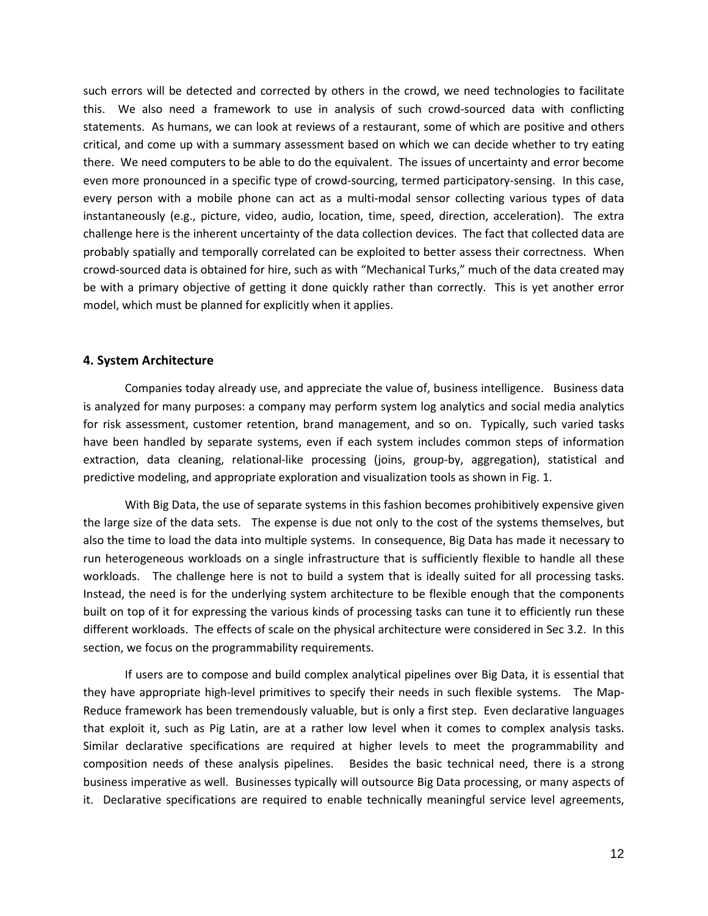such errors will be detected and corrected by others in the crowd, we need technologies to facilitate this. We also need a framework to use in analysis of such crowd-sourced data with conflicting statements. As humans, we can look at reviews of a restaurant, some of which are positive and others critical, and come up with a summary assessment based on which we can decide whether to try eating there. We need computers to be able to do the equivalent. The issues of uncertainty and error become even more pronounced in a specific type of crowd-sourcing, termed participatory-sensing. In this case, every person with a mobile phone can act as a multi-modal sensor collecting various types of data instantaneously (e.g., picture, video, audio, location, time, speed, direction, acceleration). The extra challenge here is the inherent uncertainty of the data collection devices. The fact that collected data are probably spatially and temporally correlated can be exploited to better assess their correctness. When crowd-sourced data is obtained for hire, such as with "Mechanical Turks," much of the data created may be with a primary objective of getting it done quickly rather than correctly. This is yet another error model, which must be planned for explicitly when it applies.

# **4. System Architecture**

Companies today already use, and appreciate the value of, business intelligence. Business data is analyzed for many purposes: a company may perform system log analytics and social media analytics for risk assessment, customer retention, brand management, and so on. Typically, such varied tasks have been handled by separate systems, even if each system includes common steps of information extraction, data cleaning, relational-like processing (joins, group-by, aggregation), statistical and predictive modeling, and appropriate exploration and visualization tools as shown in Fig. 1.

With Big Data, the use of separate systems in this fashion becomes prohibitively expensive given the large size of the data sets. The expense is due not only to the cost of the systems themselves, but also the time to load the data into multiple systems. In consequence, Big Data has made it necessary to run heterogeneous workloads on a single infrastructure that is sufficiently flexible to handle all these workloads. The challenge here is not to build a system that is ideally suited for all processing tasks. Instead, the need is for the underlying system architecture to be flexible enough that the components built on top of it for expressing the various kinds of processing tasks can tune it to efficiently run these different workloads. The effects of scale on the physical architecture were considered in Sec 3.2. In this section, we focus on the programmability requirements.

If users are to compose and build complex analytical pipelines over Big Data, it is essential that they have appropriate high-level primitives to specify their needs in such flexible systems. The Map-Reduce framework has been tremendously valuable, but is only a first step. Even declarative languages that exploit it, such as Pig Latin, are at a rather low level when it comes to complex analysis tasks. Similar declarative specifications are required at higher levels to meet the programmability and composition needs of these analysis pipelines. Besides the basic technical need, there is a strong business imperative as well. Businesses typically will outsource Big Data processing, or many aspects of it. Declarative specifications are required to enable technically meaningful service level agreements,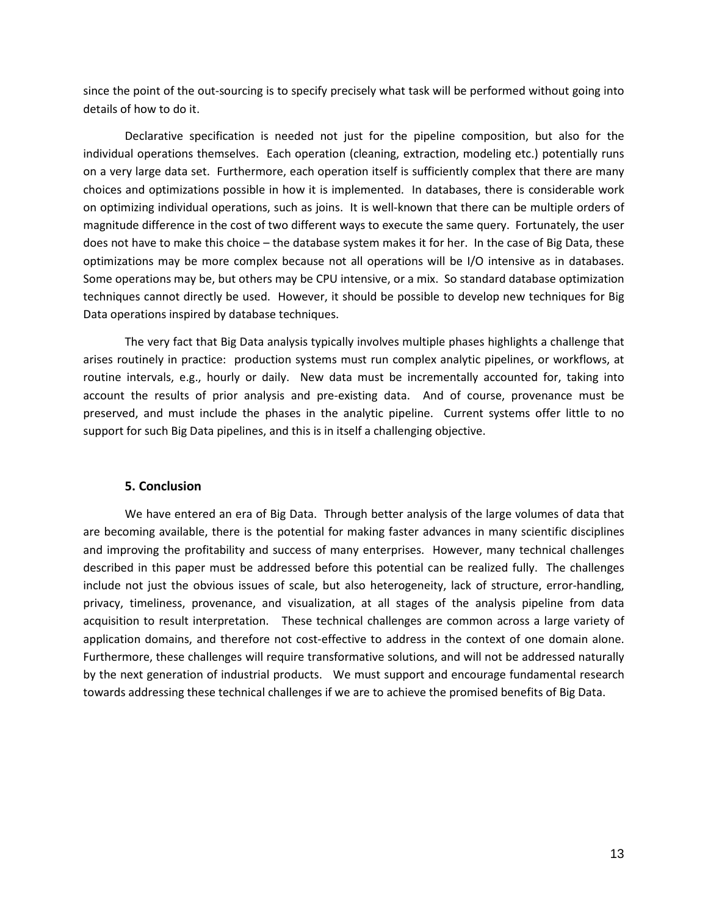since the point of the out-sourcing is to specify precisely what task will be performed without going into details of how to do it.

Declarative specification is needed not just for the pipeline composition, but also for the individual operations themselves. Each operation (cleaning, extraction, modeling etc.) potentially runs on a very large data set. Furthermore, each operation itself is sufficiently complex that there are many choices and optimizations possible in how it is implemented. In databases, there is considerable work on optimizing individual operations, such as joins. It is well-known that there can be multiple orders of magnitude difference in the cost of two different ways to execute the same query. Fortunately, the user does not have to make this choice – the database system makes it for her. In the case of Big Data, these optimizations may be more complex because not all operations will be I/O intensive as in databases. Some operations may be, but others may be CPU intensive, or a mix. So standard database optimization techniques cannot directly be used. However, it should be possible to develop new techniques for Big Data operations inspired by database techniques.

The very fact that Big Data analysis typically involves multiple phases highlights a challenge that arises routinely in practice: production systems must run complex analytic pipelines, or workflows, at routine intervals, e.g., hourly or daily. New data must be incrementally accounted for, taking into account the results of prior analysis and pre-existing data. And of course, provenance must be preserved, and must include the phases in the analytic pipeline. Current systems offer little to no support for such Big Data pipelines, and this is in itself a challenging objective.

#### **5. Conclusion**

We have entered an era of Big Data. Through better analysis of the large volumes of data that are becoming available, there is the potential for making faster advances in many scientific disciplines and improving the profitability and success of many enterprises. However, many technical challenges described in this paper must be addressed before this potential can be realized fully. The challenges include not just the obvious issues of scale, but also heterogeneity, lack of structure, error-handling, privacy, timeliness, provenance, and visualization, at all stages of the analysis pipeline from data acquisition to result interpretation. These technical challenges are common across a large variety of application domains, and therefore not cost-effective to address in the context of one domain alone. Furthermore, these challenges will require transformative solutions, and will not be addressed naturally by the next generation of industrial products. We must support and encourage fundamental research towards addressing these technical challenges if we are to achieve the promised benefits of Big Data.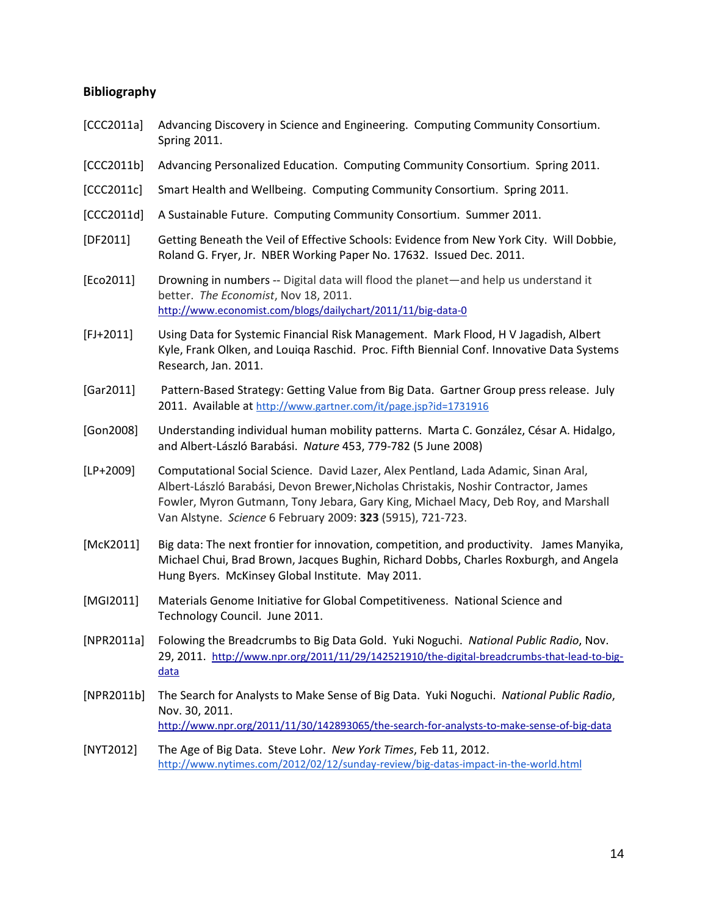# **Bibliography**

- [CCC2011a] Advancing Discovery in Science and Engineering. Computing Community Consortium. Spring 2011.
- [CCC2011b] Advancing Personalized Education. Computing Community Consortium. Spring 2011.
- [CCC2011c] Smart Health and Wellbeing. Computing Community Consortium. Spring 2011.
- [CCC2011d] A Sustainable Future. Computing Community Consortium. Summer 2011.
- [DF2011] Getting Beneath the Veil of Effective Schools: Evidence from New York City. Will Dobbie, Roland G. Fryer, Jr. NBER Working Paper No. 17632. Issued Dec. 2011.
- [Eco2011] Drowning in numbers -- Digital data will flood the planet—and help us understand it better. *The Economist*, Nov 18, 2011. <http://www.economist.com/blogs/dailychart/2011/11/big-data-0>
- [FJ+2011] Using Data for Systemic Financial Risk Management. Mark Flood, H V Jagadish, Albert Kyle, Frank Olken, and Louiqa Raschid. Proc. Fifth Biennial Conf. Innovative Data Systems Research, Jan. 2011.
- [\[Gar2011\]](http://www.npr.org/2011/11/30/142893065/the-search-for-analysts-to-make-sense-of-big-data) [Pattern-Based](http://www.npr.org/2011/11/30/142893065/the-search-for-analysts-to-make-sense-of-big-data) [Strategy: Getting](http://www.npr.org/2011/11/30/142893065/the-search-for-analysts-to-make-sense-of-big-data) [Value](http://www.npr.org/2011/11/30/142893065/the-search-for-analysts-to-make-sense-of-big-data) [from](http://www.npr.org/2011/11/30/142893065/the-search-for-analysts-to-make-sense-of-big-data) [Big](http://www.npr.org/2011/11/30/142893065/the-search-for-analysts-to-make-sense-of-big-data) [Data.](http://www.npr.org/2011/11/30/142893065/the-search-for-analysts-to-make-sense-of-big-data) Gartner Group press release. July 2011. Available a[t http://www.gartner.com/it/page.jsp?id=1731916](http://www.gartner.com/it/page.jsp?id=1731916)
- [Gon2008] Understanding individual human mobility patterns. Marta C. González, César A. Hidalgo, and Albert-László Barabási. *Nature* 453, 779-782 (5 June 2008)
- [LP+2009] Computational Social Science. David Lazer, Alex Pentland, Lada Adamic, Sinan Aral, Albert-László Barabási, Devon Brewer,Nicholas Christakis, Noshir Contractor, James Fowler, Myron Gutmann, Tony Jebara, Gary King, Michael Macy, Deb Roy, and Marshall Van Alstyne. *Science* 6 February 2009: **323** (5915), 721-723.
- [McK2011] Big data: The next frontier for innovation, competition, and productivity. James Manyika, Michael Chui, Brad Brown, Jacques Bughin, Richard Dobbs, Charles Roxburgh, and Angela Hung Byers. McKinsey Global Institute. May 2011.
- [MGI2011] Materials Genome Initiative for Global Competitiveness. National Science and Technology Council. June 2011.
- [NPR2011a] Folowing the Breadcrumbs to Big Data Gold. Yuki Noguchi. *National Public Radio*, Nov. 29, 2011. [http://www.npr.org/2011/11/29/142521910/the-digital-breadcrumbs-that-lead-to-big](http://www.npr.org/2011/11/29/142521910/the-digital-breadcrumbs-that-lead-to-big-data)[data](http://www.npr.org/2011/11/29/142521910/the-digital-breadcrumbs-that-lead-to-big-data)
- [NPR2011b] The Search for Analysts to Make Sense of Big Data. Yuki Noguchi. *National Public Radio*, Nov. 30, 2011. <http://www.npr.org/2011/11/30/142893065/the-search-for-analysts-to-make-sense-of-big-data>
- [NYT2012] The Age of Big Data. Steve Lohr. *New York Times*, Feb 11, 2012. [http://www.nytimes.com/2012/02/12/sunday-review/big-datas-impact-in-the-world.html](http://www.nytimes.com/2012/02/12/sunday-review/big-datas-impact-in-the-world.html?pagewanted=all)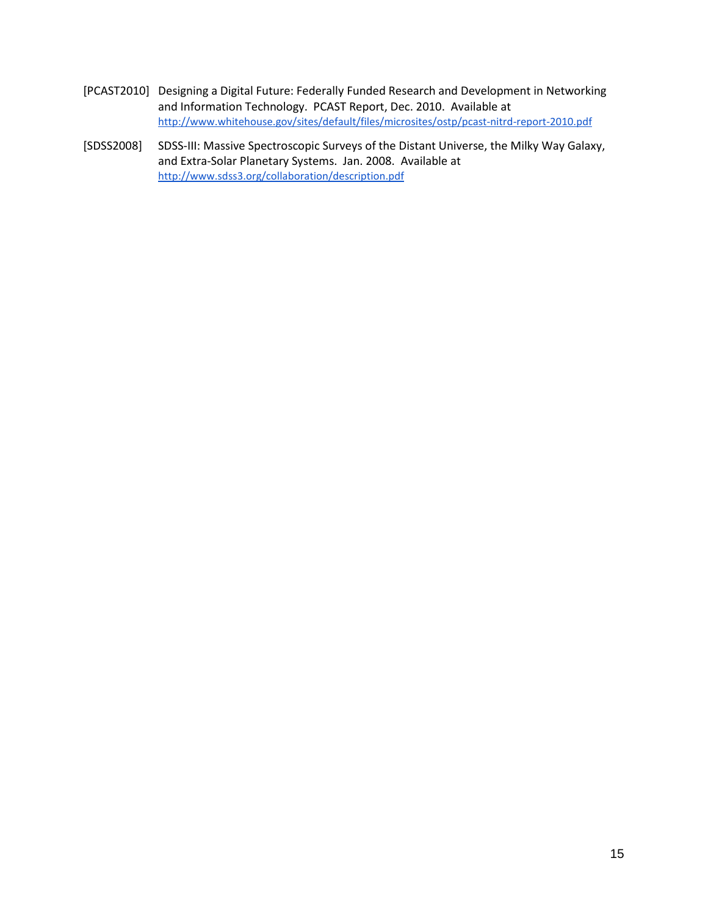- [PCAST2010] Designing a Digital Future: Federally Funded Research and Development in Networking and Information Technology. PCAST Report, Dec. 2010. Available at <http://www.whitehouse.gov/sites/default/files/microsites/ostp/pcast-nitrd-report-2010.pdf>
- [SDSS2008] SDSS-III: Massive Spectroscopic Surveys of the Distant Universe, the Milky Way Galaxy, and Extra-Solar Planetary Systems. Jan. 2008. Available at <http://www.sdss3.org/collaboration/description.pdf>